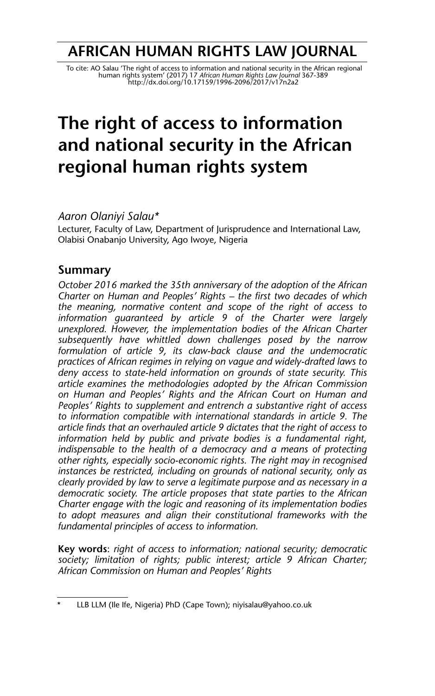## **AFRICAN HUMAN RIGHTS LAW JOURNAL**

To cite: AO Salau 'The right of access to information and national security in the African regional<br>human rights system' (2017) 17 A*frican Human Rights Law Journal* 367-389<br>http://dx.doi.org/10.17159/1996-2096/2017/v17n2a

# **The right of access to information and national security in the African regional human rights system**

*Aaron Olaniyi Salau\**

Lecturer, Faculty of Law, Department of Jurisprudence and International Law, Olabisi Onabanjo University, Ago Iwoye, Nigeria

## **Summary**

*October 2016 marked the 35th anniversary of the adoption of the African Charter on Human and Peoples' Rights – the first two decades of which the meaning, normative content and scope of the right of access to information guaranteed by article 9 of the Charter were largely unexplored. However, the implementation bodies of the African Charter subsequently have whittled down challenges posed by the narrow formulation of article 9, its claw-back clause and the undemocratic practices of African regimes in relying on vague and widely-drafted laws to deny access to state-held information on grounds of state security. This article examines the methodologies adopted by the African Commission on Human and Peoples' Rights and the African Court on Human and Peoples' Rights to supplement and entrench a substantive right of access to information compatible with international standards in article 9. The article finds that an overhauled article 9 dictates that the right of access to information held by public and private bodies is a fundamental right, indispensable to the health of a democracy and a means of protecting other rights, especially socio-economic rights. The right may in recognised instances be restricted, including on grounds of national security, only as clearly provided by law to serve a legitimate purpose and as necessary in a democratic society. The article proposes that state parties to the African Charter engage with the logic and reasoning of its implementation bodies to adopt measures and align their constitutional frameworks with the fundamental principles of access to information.*

**Key words**: *right of access to information; national security; democratic society; limitation of rights; public interest; article 9 African Charter; African Commission on Human and Peoples' Rights*

LLB LLM (Ile Ife, Nigeria) PhD (Cape Town); niyisalau@yahoo.co.uk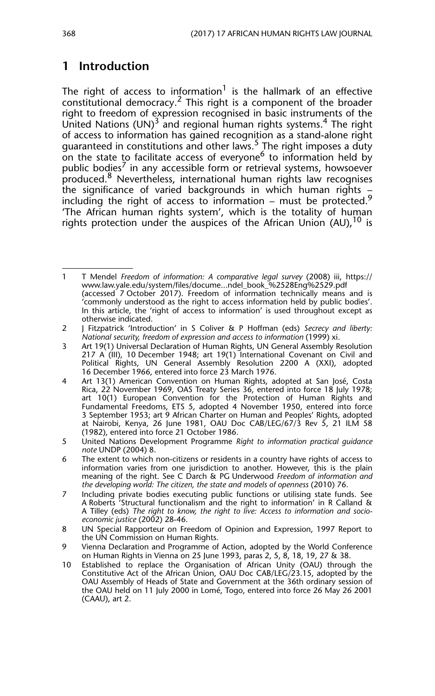## **1 Introduction**

The right of access to information<sup>1</sup> is the hallmark of an effective constitutional democracy.2 This right is a component of the broader right to freedom of expression recognised in basic instruments of the United Nations  $(UN)^3$  and regional human rights systems.<sup>4</sup> The right of access to information has gained recognition as a stand-alone right guaranteed in constitutions and other laws.<sup>5</sup> The right imposes a duty on the state to facilitate access of everyone<sup>6</sup> to information held by public bodies<sup>7</sup> in any accessible form or retrieval systems, howsoever produced.8 Nevertheless, international human rights law recognises the significance of varied backgrounds in which human rights – including the right of access to information – must be protected.<sup>9</sup> 'The African human rights system', which is the totality of human rights protection under the auspices of the African Union (AU),  $^{10}$  is

<sup>1</sup> T Mendel *Freedom of information: A comparative legal survey* (2008) iii, https:// www.law.yale.edu/system/files/docume...ndel\_book\_%2528Eng%2529.pdf (accessed 7 October 2017). Freedom of information technically means and is 'commonly understood as the right to access information held by public bodies'. In this article, the 'right of access to information' is used throughout except as otherwise indicated.

<sup>2</sup> J Fitzpatrick 'Introduction' in S Coliver & P Hoffman (eds) *Secrecy and liberty: National security, freedom of expression and access to information* (1999) xi.

<sup>3</sup> Art 19(1) Universal Declaration of Human Rights, UN General Assembly Resolution 217 A (III), 10 December 1948; art 19(1) International Covenant on Civil and Political Rights, UN General Assembly Resolution 2200 A (XXI), adopted 16 December 1966, entered into force 23 March 1976.

<sup>4</sup> Art 13(1) American Convention on Human Rights, adopted at San José, Costa Rica, 22 November 1969, OAS Treaty Series 36, entered into force 18 July 1978; art 10(1) European Convention for the Protection of Human Rights and Fundamental Freedoms, ETS 5, adopted 4 November 1950, entered into force 3 September 1953; art 9 African Charter on Human and Peoples' Rights, adopted at Nairobi, Kenya, 26 June 1981, OAU Doc CAB/LEG/67/3 Rev 5, 21 ILM 58 (1982), entered into force 21 October 1986.

<sup>5</sup> United Nations Development Programme *Right to information practical guidance note* UNDP (2004) 8.

The extent to which non-citizens or residents in a country have rights of access to information varies from one jurisdiction to another. However, this is the plain meaning of the right. See C Darch & PG Underwood *Freedom of information and the developing world: The citizen, the state and models of openness* (2010) 76.

<sup>7</sup> Including private bodies executing public functions or utilising state funds. See A Roberts 'Structural functionalism and the right to information' in R Calland & A Tilley (eds) *The right to know, the right to live: Access to information and socioeconomic justice* (2002) 28-46.

<sup>8</sup> UN Special Rapporteur on Freedom of Opinion and Expression, 1997 Report to the UN Commission on Human Rights.

<sup>9</sup> Vienna Declaration and Programme of Action, adopted by the World Conference on Human Rights in Vienna on 25 June 1993, paras 2, 5, 8, 18, 19, 27 & 38.

<sup>10</sup> Established to replace the Organisation of African Unity (OAU) through the Constitutive Act of the African Union, OAU Doc CAB/LEG/23.15, adopted by the OAU Assembly of Heads of State and Government at the 36th ordinary session of the OAU held on 11 July 2000 in Lomé, Togo, entered into force 26 May 26 2001 (CAAU), art 2.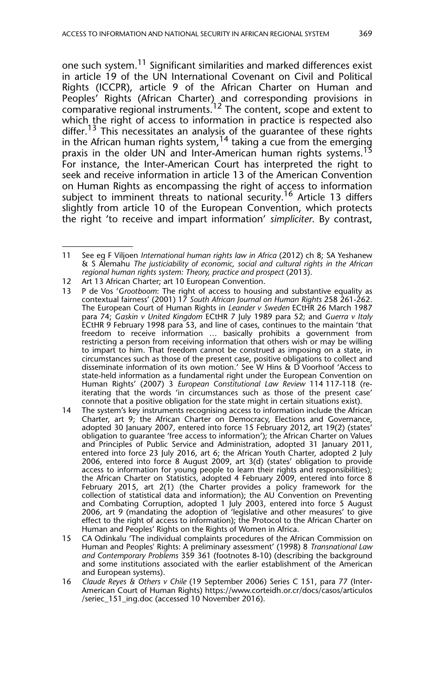one such system.<sup>11</sup> Significant similarities and marked differences exist in article 19 of the UN International Covenant on Civil and Political Rights (ICCPR), article 9 of the African Charter on Human and Peoples' Rights (African Charter) and corresponding provisions in comparative regional instruments.<sup>12</sup> The content, scope and extent to which the right of access to information in practice is respected also differ.<sup>13</sup> This necessitates an analysis of the guarantee of these rights in the African human rights system,  $14$  taking a cue from the emerging praxis in the older UN and Inter-American human rights systems.<sup>13</sup> For instance, the Inter-American Court has interpreted the right to seek and receive information in article 13 of the American Convention on Human Rights as encompassing the right of access to information subject to imminent threats to national security.<sup>16</sup> Article 13 differs slightly from article 10 of the European Convention, which protects the right 'to receive and impart information' *simpliciter*. By contrast,

- 12 Art 13 African Charter; art 10 European Convention.
- 13 P de Vos '*Grootboom*: The right of access to housing and substantive equality as contextual fairness' (2001) 17 *South African Journal on Human Rights* 258 261-262. The European Court of Human Rights in *Leander v Sweden* ECtHR 26 March 1987 para 74; *Gaskin v United Kingdom* ECtHR 7 July 1989 para 52; and *Guerra v Italy* ECtHR 9 February 1998 para 53, and line of cases, continues to the maintain 'that freedom to receive information … basically prohibits a government from restricting a person from receiving information that others wish or may be willing to impart to him. That freedom cannot be construed as imposing on a state, in circumstances such as those of the present case, positive obligations to collect and disseminate information of its own motion.' See W Hins & D Voorhoof 'Access to state-held information as a fundamental right under the European Convention on Human Rights' (2007) 3 *European Constitutional Law Review* 114 117-118 (reiterating that the words 'in circumstances such as those of the present case' connote that a positive obligation for the state might in certain situations exist).
- 14 The system's key instruments recognising access to information include the African Charter, art 9; the African Charter on Democracy, Elections and Governance, adopted 30 January 2007, entered into force 15 February 2012, art 19(2) (states' obligation to guarantee 'free access to information'); the African Charter on Values and Principles of Public Service and Administration, adopted 31 January 2011, entered into force 23 July 2016, art 6; the African Youth Charter, adopted 2 July 2006, entered into force 8 August 2009, art 3(d) (states' obligation to provide access to information for young people to learn their rights and responsibilities); the African Charter on Statistics, adopted 4 February 2009, entered into force 8 February 2015, art 2(1) (the Charter provides a policy framework for the collection of statistical data and information); the AU Convention on Preventing and Combating Corruption, adopted 1 July 2003, entered into force 5 August 2006, art 9 (mandating the adoption of 'legislative and other measures' to give effect to the right of access to information); the Protocol to the African Charter on Human and Peoples' Rights on the Rights of Women in Africa.
- 15 CA Odinkalu 'The individual complaints procedures of the African Commission on Human and Peoples' Rights: A preliminary assessment' (1998) 8 *Transnational Law and Contemporary Problems* 359 361 (footnotes 8-10) (describing the background and some institutions associated with the earlier establishment of the American and European systems).
- 16 *Claude Reyes & Others v Chile* (19 September 2006) Series C 151, para 77 (Inter-American Court of Human Rights) https://www.corteidh.or.cr/docs/casos/articulos /seriec\_151\_ing.doc (accessed 10 November 2016).

<sup>11</sup> See eg F Viljoen *International human rights law in Africa* (2012) ch 8; SA Yeshanew & S Alemahu *The justiciability of economic, social and cultural rights in the African regional human rights system: Theory, practice and prospect* (2013).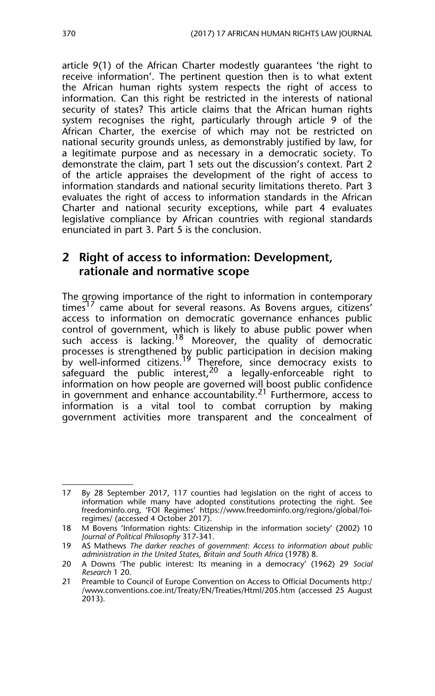article 9(1) of the African Charter modestly guarantees 'the right to receive information'. The pertinent question then is to what extent the African human rights system respects the right of access to information. Can this right be restricted in the interests of national security of states? This article claims that the African human rights system recognises the right, particularly through article 9 of the African Charter, the exercise of which may not be restricted on national security grounds unless, as demonstrably justified by law, for a legitimate purpose and as necessary in a democratic society. To demonstrate the claim, part 1 sets out the discussion's context. Part 2 of the article appraises the development of the right of access to information standards and national security limitations thereto. Part 3 evaluates the right of access to information standards in the African Charter and national security exceptions, while part 4 evaluates legislative compliance by African countries with regional standards enunciated in part 3. Part 5 is the conclusion.

## **2 Right of access to information: Development, rationale and normative scope**

The growing importance of the right to information in contemporary  $times<sup>17</sup>$  came about for several reasons. As Bovens argues, citizens' access to information on democratic governance enhances public control of government, which is likely to abuse public power when such access is lacking.<sup>18</sup> Moreover, the quality of democratic processes is strengthened by public participation in decision making by well-informed citizens.<sup>19</sup> Therefore, since democracy exists to safeguard the public interest,  $20$  a legally-enforceable right to information on how people are governed will boost public confidence in government and enhance accountability.<sup>21</sup> Furthermore, access to information is a vital tool to combat corruption by making government activities more transparent and the concealment of

<sup>17</sup> By 28 September 2017, 117 counties had legislation on the right of access to information while many have adopted constitutions protecting the right. See freedominfo.org, 'FOI Regimes' https://www.freedominfo.org/regions/global/foiregimes/ (accessed 4 October 2017).

<sup>18</sup> M Bovens 'Information rights: Citizenship in the information society' (2002) 10 *Journal of Political Philosophy* 317-341.

<sup>19</sup> AS Mathews *The darker reaches of government*: *Access to information about public administration in the United States, Britain and South Africa* (1978) 8.

<sup>20</sup> A Downs 'The public interest: Its meaning in a democracy' (1962) 29 *Social Research* 1 20.

<sup>21</sup> Preamble to Council of Europe Convention on Access to Official Documents http:/ /www.conventions.coe.int/Treaty/EN/Treaties/Html/205.htm (accessed 25 August 2013).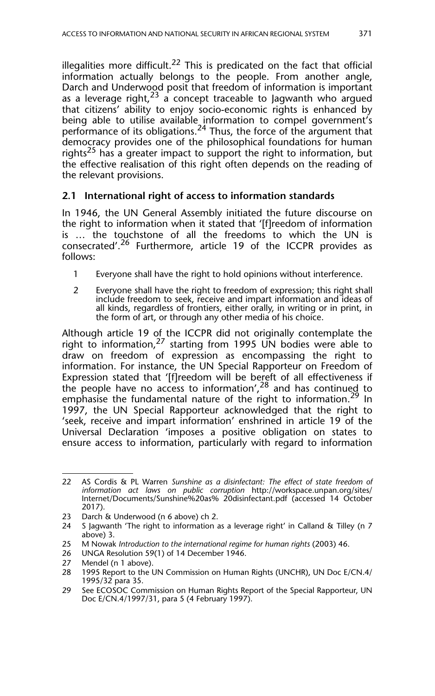illegalities more difficult.<sup>22</sup> This is predicated on the fact that official information actually belongs to the people. From another angle, Darch and Underwood posit that freedom of information is important as a leverage right,  $23^{\circ}$  a concept traceable to Jagwanth who argued that citizens' ability to enjoy socio-economic rights is enhanced by being able to utilise available information to compel government's performance of its obligations.<sup>24</sup> Thus, the force of the argument that democracy provides one of the philosophical foundations for human rights<sup>25</sup> has a greater impact to support the right to information, but the effective realisation of this right often depends on the reading of the relevant provisions.

#### **2.1 International right of access to information standards**

In 1946, the UN General Assembly initiated the future discourse on the right to information when it stated that '[f]reedom of information is … the touchstone of all the freedoms to which the UN is consecrated'.<sup>26</sup> Furthermore, article 19 of the ICCPR provides as follows:

- 1 Everyone shall have the right to hold opinions without interference.
- 2 Everyone shall have the right to freedom of expression; this right shall include freedom to seek, receive and impart information and ideas of all kinds, regardless of frontiers, either orally, in writing or in print, in the form of art, or through any other media of his choice.

Although article 19 of the ICCPR did not originally contemplate the right to information,<sup>27</sup> starting from 1995 UN bodies were able to draw on freedom of expression as encompassing the right to information. For instance, the UN Special Rapporteur on Freedom of Expression stated that '[f]reedom will be bereft of all effectiveness if the people have no access to information',  $28$  and has continued to emphasise the fundamental nature of the right to information.<sup>29</sup> In 1997, the UN Special Rapporteur acknowledged that the right to 'seek, receive and impart information' enshrined in article 19 of the Universal Declaration 'imposes a positive obligation on states to ensure access to information, particularly with regard to information

<sup>22</sup> AS Cordis & PL Warren *Sunshine as a disinfectant: The effect of state freedom of information act laws on public corruption* http://workspace.unpan.org/sites/ Internet/Documents/Sunshine%20as% 20disinfectant.pdf (accessed 14 October 2017).

<sup>23</sup> Darch & Underwood (n 6 above) ch 2.

<sup>24</sup> S Jagwanth 'The right to information as a leverage right' in Calland & Tilley (n 7 above) 3.

<sup>25</sup> M Nowak *Introduction to the international regime for human rights* (2003) 46.

<sup>26</sup> UNGA Resolution 59(1) of 14 December 1946.

<sup>27</sup> Mendel (n 1 above).

<sup>28 1995</sup> Report to the UN Commission on Human Rights (UNCHR), UN Doc E/CN.4/ 1995/32 para 35.

<sup>29</sup> See ECOSOC Commission on Human Rights Report of the Special Rapporteur, UN Doc E/CN.4/1997/31, para 5 (4 February 1997).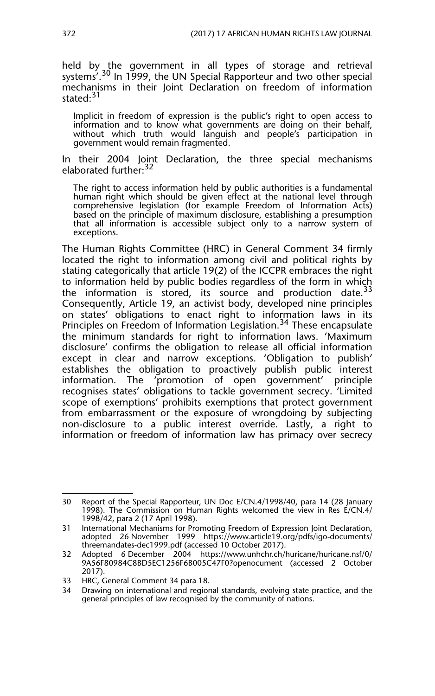held by the government in all types of storage and retrieval systems'.<sup>30</sup> In 1999, the UN Special Rapporteur and two other special mechanisms in their Joint Declaration on freedom of information stated<sup>31</sup>

Implicit in freedom of expression is the public's right to open access to information and to know what governments are doing on their behalf, without which truth would languish and people's participation in government would remain fragmented.

In their 2004 Joint Declaration, the three special mechanisms elaborated further: 32

The right to access information held by public authorities is a fundamental human right which should be given effect at the national level through comprehensive legislation (for example Freedom of Information Acts) based on the principle of maximum disclosure, establishing a presumption that all information is accessible subject only to a narrow system of exceptions.

The Human Rights Committee (HRC) in General Comment 34 firmly located the right to information among civil and political rights by stating categorically that article 19(2) of the ICCPR embraces the right to information held by public bodies regardless of the form in which the information is stored, its source and production date. $33$ Consequently, Article 19, an activist body, developed nine principles on states' obligations to enact right to information laws in its Principles on Freedom of Information Legislation.<sup>34</sup> These encapsulate the minimum standards for right to information laws. 'Maximum disclosure' confirms the obligation to release all official information except in clear and narrow exceptions. 'Obligation to publish' establishes the obligation to proactively publish public interest information. The 'promotion of open government' principle recognises states' obligations to tackle government secrecy. 'Limited scope of exemptions' prohibits exemptions that protect government from embarrassment or the exposure of wrongdoing by subjecting non-disclosure to a public interest override. Lastly, a right to information or freedom of information law has primacy over secrecy

<sup>30</sup> Report of the Special Rapporteur, UN Doc E/CN.4/1998/40, para 14 (28 January 1998). The Commission on Human Rights welcomed the view in Res E/CN.4/ 1998/42, para 2 (17 April 1998).

<sup>31</sup> International Mechanisms for Promoting Freedom of Expression Joint Declaration, adopted 26 November 1999 https://www.article19.org/pdfs/igo-documents/ threemandates-dec1999.pdf (accessed 10 October 2017).

<sup>32</sup> Adopted 6 December 2004 https://www.unhchr.ch/huricane/huricane.nsf/0/ 9A56F80984C8BD5EC1256F6B005C47F0?openocument (accessed 2 October 2017).

<sup>33</sup> HRC, General Comment 34 para 18.<br>34 Drawing on international and region

Drawing on international and regional standards, evolving state practice, and the general principles of law recognised by the community of nations.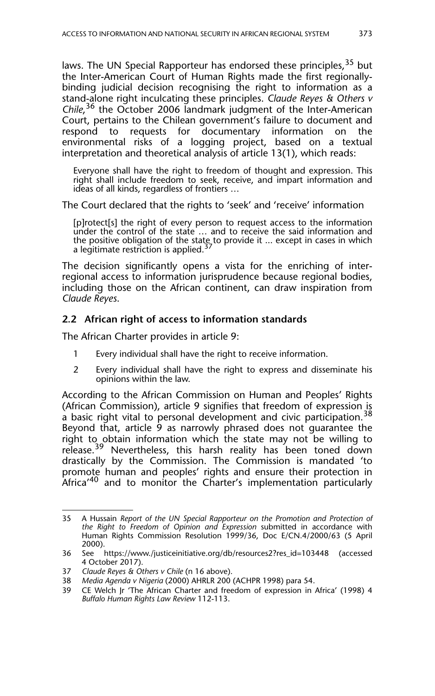laws. The UN Special Rapporteur has endorsed these principles,<sup>35</sup> but the Inter-American Court of Human Rights made the first regionallybinding judicial decision recognising the right to information as a stand-alone right inculcating these principles. *Claude Reyes & Others v Chile*, 36 the October 2006 landmark judgment of the Inter-American Court, pertains to the Chilean government's failure to document and<br>respond to requests for documentary information on the respond to requests for documentary information on the environmental risks of a logging project, based on a textual interpretation and theoretical analysis of article 13(1), which reads:

Everyone shall have the right to freedom of thought and expression. This right shall include freedom to seek, receive, and impart information and ideas of all kinds, regardless of frontiers …

The Court declared that the rights to 'seek' and 'receive' information

[p]rotect[s] the right of every person to request access to the information under the control of the state … and to receive the said information and the positive obligation of the state to provide it ... except in cases in which<br>a legitimate restriction is applied.<sup>37</sup>

The decision significantly opens a vista for the enriching of interregional access to information jurisprudence because regional bodies, including those on the African continent, can draw inspiration from *Claude Reyes*.

#### **2.2 African right of access to information standards**

The African Charter provides in article 9:

- 1 Every individual shall have the right to receive information.
- 2 Every individual shall have the right to express and disseminate his opinions within the law.

According to the African Commission on Human and Peoples' Rights (African Commission), article 9 signifies that freedom of expression is a basic right vital to personal development and civic participation.<sup>38</sup> Beyond that, article 9 as narrowly phrased does not guarantee the right to obtain information which the state may not be willing to release.<sup>39</sup> Nevertheless, this harsh reality has been toned down drastically by the Commission. The Commission is mandated 'to promote human and peoples' rights and ensure their protection in Africa<sup>'40</sup> and to monitor the Charter's implementation particularly

<sup>35</sup> A Hussain *Report of the UN Special Rapporteur on the Promotion and Protection of the Right to Freedom of Opinion and Expression* submitted in accordance with Human Rights Commission Resolution 1999/36, Doc E/CN.4/2000/63 (5 April 2000).

<sup>36</sup> See https://www./justiceinitiative.org/db/resources2?res\_id=103448 (accessed 4 October 2017).

<sup>37</sup> *Claude Reyes & Others v Chile* (n 16 above).

<sup>38</sup> *Media Agenda v Nigeria* (2000) AHRLR 200 (ACHPR 1998) para 54.

<sup>39</sup> CE Welch Jr 'The African Charter and freedom of expression in Africa' (1998) 4 *Buffalo Human Rights Law Review* 112-113.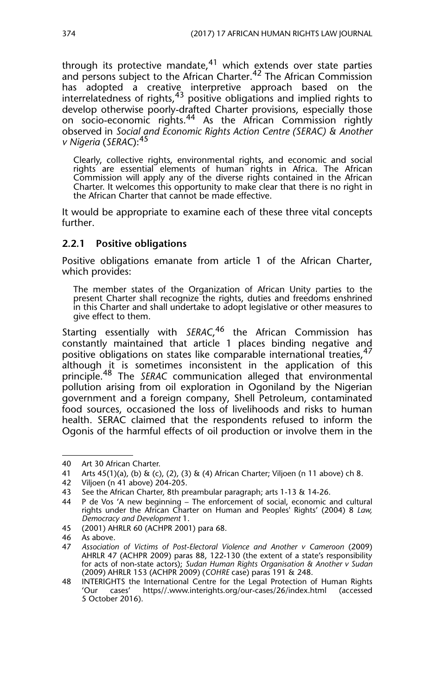through its protective mandate, $41$  which extends over state parties and persons subject to the African Charter.<sup>42</sup> The African Commission has adopted a creative interpretive approach based on the interrelatedness of rights, $43$  positive obligations and implied rights to develop otherwise poorly-drafted Charter provisions, especially those on socio-economic rights.<sup>44</sup> As the African Commission rightly observed in *Social and Economic Rights Action Centre (SERAC) & Another v Nigeria* (*SERAC*):45

Clearly, collective rights, environmental rights, and economic and social rights are essential elements of human rights in Africa. The African Commission will apply any of the diverse rights contained in the African Charter. It welcomes this opportunity to make clear that there is no right in the African Charter that cannot be made effective.

It would be appropriate to examine each of these three vital concepts further.

#### **2.2.1 Positive obligations**

Positive obligations emanate from article 1 of the African Charter, which provides:

The member states of the Organization of African Unity parties to the present Charter shall recognize the rights, duties and freedoms enshrined in this Charter and shall undertake to adopt legislative or other measures to give effect to them.

Starting essentially with *SERAC*, 46 the African Commission has constantly maintained that article 1 places binding negative and positive obligations on states like comparable international treaties.<sup>47</sup> although it is sometimes inconsistent in the application of this principle.48 The *SERAC* communication alleged that environmental pollution arising from oil exploration in Ogoniland by the Nigerian government and a foreign company, Shell Petroleum, contaminated food sources, occasioned the loss of livelihoods and risks to human health. SERAC claimed that the respondents refused to inform the Ogonis of the harmful effects of oil production or involve them in the

<sup>40</sup> Art 30 African Charter.

<sup>41</sup> Arts 45(1)(a), (b) & (c), (2), (3) & (4) African Charter; Viljoen (n 11 above) ch 8.

<sup>42</sup> Viljoen (n 41 above) 204-205.

<sup>43</sup> See the African Charter, 8th preambular paragraph; arts 1-13 & 14-26.

<sup>44</sup> P de Vos 'A new beginning – The enforcement of social, economic and cultural rights under the African Charter on Human and Peoples' Rights' (2004) 8 *Law, Democracy and Development* 1.

<sup>45 (2001)</sup> AHRLR 60 (ACHPR 2001) para 68.

<sup>46</sup> As above.<br>47 Association

<sup>47</sup> *Association of Victims of Post-Electoral Violence and Another v Cameroon* (2009) AHRLR 47 (ACHPR 2009) paras 88, 122-130 (the extent of a state's responsibility for acts of non-state actors); *Sudan Human Rights Organisation & Another v Sudan* (2009) AHRLR 153 (ACHPR 2009) (*COHRE* case) paras 191 & 248.

<sup>48</sup> INTERIGHTS the International Centre for the Legal Protection of Human Rights<br>
'Our cases' https//.www.interights.org/our-cases/26/index.html (accessed https//.www.interights.org/our-cases/26/index.html (accessed 5 October 2016).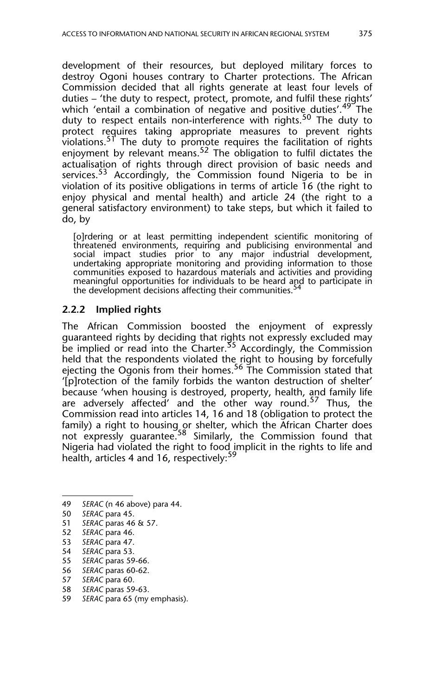development of their resources, but deployed military forces to destroy Ogoni houses contrary to Charter protections. The African Commission decided that all rights generate at least four levels of duties – 'the duty to respect, protect, promote, and fulfil these rights' which 'entail a combination of negative and positive duties'.<sup>49</sup> The duty to respect entails non-interference with rights.<sup>50</sup> The duty to protect requires taking appropriate measures to prevent rights violations.<sup>51</sup> The duty to promote requires the facilitation of rights enjoyment by relevant means.<sup>52</sup> The obligation to fulfil dictates the actualisation of rights through direct provision of basic needs and services.<sup>53</sup> Accordingly, the Commission found Nigeria to be in violation of its positive obligations in terms of article 16 (the right to enjoy physical and mental health) and article 24 (the right to a general satisfactory environment) to take steps, but which it failed to do, by

[o]rdering or at least permitting independent scientific monitoring of threatened environments, requiring and publicising environmental and social impact studies prior to any major industrial development, undertaking appropriate monitoring and providing information to those communities exposed to hazardous materials and activities and providing meaningful opportunities for individuals to be heard and to participate in the development decisions affecting their communities.

#### **2.2.2 Implied rights**

The African Commission boosted the enjoyment of expressly guaranteed rights by deciding that rights not expressly excluded may be implied or read into the Charter.<sup>55</sup> Accordingly, the Commission held that the respondents violated the right to housing by forcefully ejecting the Ogonis from their homes.<sup>56</sup> The Commission stated that '[p]rotection of the family forbids the wanton destruction of shelter' because 'when housing is destroyed, property, health, and family life are adversely affected' and the other way round.<sup>57</sup> Thus, the Commission read into articles 14, 16 and 18 (obligation to protect the family) a right to housing or shelter, which the African Charter does many, a syntemiple and the Commission found that Nigeria had violated the right to food implicit in the rights to life and health, articles 4 and 16, respectively:<sup>59</sup>

- 55 *SERAC* paras 59-66.
- 56 *SERAC* paras 60-62.

- 58 *SERAC* paras 59-63.
- 59 *SERAC* para 65 (my emphasis).

<sup>49</sup> *SERAC* (n 46 above) para 44.

<sup>50</sup> *SERAC* para 45.<br>51 *SERAC* paras 46

<sup>51</sup> *SERAC* paras 46 & 57.

<sup>52</sup> *SERAC* para 46.

<sup>53</sup> *SERAC* para 47.

<sup>54</sup> *SERAC* para 53.

<sup>57</sup> *SERAC* para 60.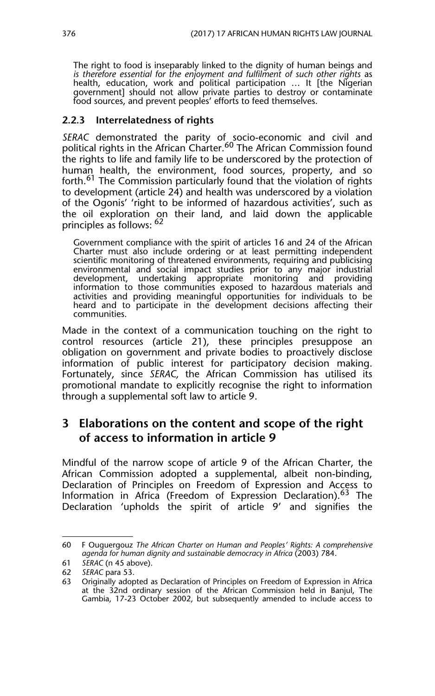The right to food is inseparably linked to the dignity of human beings and is therefore essential for the enjoyment and fulfilment of such other rights as health, education, work and political participation … It [the Nigerian government] should not allow private parties to destroy or contaminate food sources, and prevent peoples' efforts to feed themselves.

#### **2.2.3 Interrelatedness of rights**

*SERAC* demonstrated the parity of socio-economic and civil and political rights in the African Charter.<sup>60</sup> The African Commission found the rights to life and family life to be underscored by the protection of human health, the environment, food sources, property, and so forth.61 The Commission particularly found that the violation of rights to development (article 24) and health was underscored by a violation of the Ogonis' 'right to be informed of hazardous activities', such as the oil exploration on their land, and laid down the applicable principles as follows: 62

Government compliance with the spirit of articles 16 and 24 of the African Charter must also include ordering or at least permitting independent scientific monitoring of threatened environments, requiring and publicising environmental and social impact studies prior to any major industrial development, undertaking appropriate monitoring and providing information to those communities exposed to hazardous materials and activities and providing meaningful opportunities for individuals to be heard and to participate in the development decisions affecting their communities.

Made in the context of a communication touching on the right to control resources (article 21), these principles presuppose an obligation on government and private bodies to proactively disclose information of public interest for participatory decision making. Fortunately, since *SERAC,* the African Commission has utilised its promotional mandate to explicitly recognise the right to information through a supplemental soft law to article 9.

## **3 Elaborations on the content and scope of the right of access to information in article 9**

Mindful of the narrow scope of article 9 of the African Charter, the African Commission adopted a supplemental, albeit non-binding, Declaration of Principles on Freedom of Expression and Access to Information in Africa (Freedom of Expression Declaration).<sup>63</sup> The Declaration 'upholds the spirit of article 9' and signifies the

<sup>60</sup> F Ouguergouz *The African Charter on Human and Peoples' Rights: A comprehensive agenda for human dignity and sustainable democracy in Africa* (2003) 784.

<sup>61</sup> *SERAC* (n 45 above).

<sup>62</sup> *SERAC* para 53.

<sup>63</sup> Originally adopted as Declaration of Principles on Freedom of Expression in Africa at the 32nd ordinary session of the African Commission held in Banjul, The Gambia, 17-23 October 2002, but subsequently amended to include access to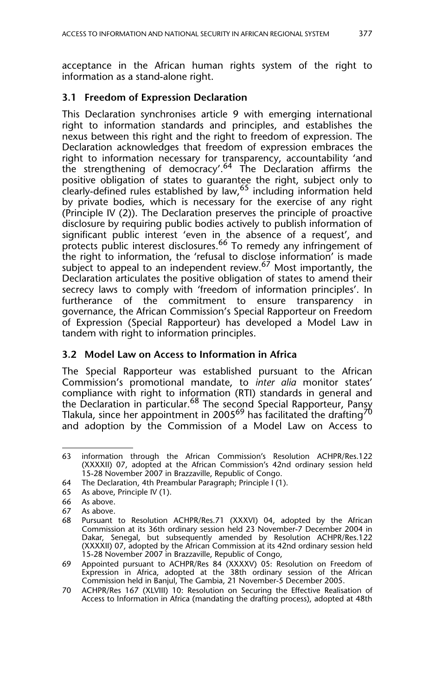acceptance in the African human rights system of the right to information as a stand-alone right.

#### **3.1 Freedom of Expression Declaration**

This Declaration synchronises article 9 with emerging international right to information standards and principles, and establishes the nexus between this right and the right to freedom of expression. The Declaration acknowledges that freedom of expression embraces the right to information necessary for transparency, accountability 'and the strengthening of democracy'.<sup>64</sup> The Declaration affirms the positive obligation of states to guarantee the right, subject only to clearly-defined rules established by law,<sup>65</sup> including information held by private bodies, which is necessary for the exercise of any right (Principle IV (2)). The Declaration preserves the principle of proactive disclosure by requiring public bodies actively to publish information of significant public interest 'even in the absence of a request', and protects public interest disclosures.<sup>66</sup> To remedy any infringement of the right to information, the 'refusal to disclose information' is made subject to appeal to an independent review.<sup>67</sup> Most importantly, the Declaration articulates the positive obligation of states to amend their secrecy laws to comply with 'freedom of information principles'. In furtherance of the commitment to ensure transparency in governance, the African Commission's Special Rapporteur on Freedom of Expression (Special Rapporteur) has developed a Model Law in tandem with right to information principles.

#### **3.2 Model Law on Access to Information in Africa**

The Special Rapporteur was established pursuant to the African Commission's promotional mandate, to *inter alia* monitor states' compliance with right to information (RTI) standards in general and the Declaration in particular.<sup>68</sup> The second Special Rapporteur, Pansy Tlakula, since her appointment in 2005 $^{69}$  has facilitated the drafting $^{70}$ and adoption by the Commission of a Model Law on Access to

<sup>63</sup> information through the African Commission's Resolution ACHPR/Res.122 (XXXXII) 07, adopted at the African Commission's 42nd ordinary session held 15-28 November 2007 in Brazzaville, Republic of Congo.

<sup>64</sup> The Declaration, 4th Preambular Paragraph; Principle I (1).

<sup>65</sup> As above, Principle IV (1).

<sup>66</sup> As above.

<sup>67</sup> As above.

<sup>68</sup> Pursuant to Resolution ACHPR/Res.71 (XXXVI) 04, adopted by the African Commission at its 36th ordinary session held 23 November-7 December 2004 in Dakar, Senegal, but subsequently amended by Resolution ACHPR/Res.122 (XXXXII) 07, adopted by the African Commission at its 42nd ordinary session held 15-28 November 2007 in Brazzaville, Republic of Congo,

<sup>69</sup> Appointed pursuant to ACHPR/Res 84 (XXXXV) 05: Resolution on Freedom of Expression in Africa, adopted at the 38th ordinary session of the African Commission held in Banjul, The Gambia, 21 November-5 December 2005.

<sup>70</sup> ACHPR/Res 167 (XLVIII) 10: Resolution on Securing the Effective Realisation of Access to Information in Africa (mandating the drafting process), adopted at 48th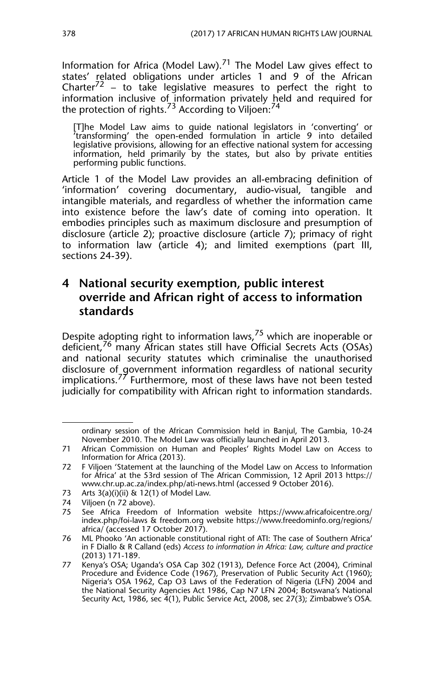Information for Africa (Model Law). $71$  The Model Law gives effect to states' related obligations under articles 1 and 9 of the African Charter $72$  – to take legislative measures to perfect the right to information inclusive of information privately held and required for the protection of rights.<sup>73</sup> According to Viljoen:<sup>74</sup>

[T]he Model Law aims to guide national legislators in 'converting' or 'transforming' the open-ended formulation in article 9 into detailed legislative provisions, allowing for an effective national system for accessing information, held primarily by the states, but also by private entities performing public functions.

Article 1 of the Model Law provides an all-embracing definition of 'information' covering documentary, audio-visual, tangible and intangible materials, and regardless of whether the information came into existence before the law's date of coming into operation. It embodies principles such as maximum disclosure and presumption of disclosure (article 2); proactive disclosure (article 7); primacy of right to information law (article 4); and limited exemptions (part III, sections 24-39).

## **4 National security exemption, public interest override and African right of access to information standards**

Despite adopting right to information laws,  $75$  which are inoperable or deficient,76 many African states still have Official Secrets Acts (OSAs) and national security statutes which criminalise the unauthorised disclosure of government information regardless of national security implications.<sup>77</sup> Furthermore, most of these laws have not been tested judicially for compatibility with African right to information standards.

73 Arts  $3(a)(i)(ii)$  & 12(1) of Model Law.

ordinary session of the African Commission held in Banjul, The Gambia, 10-24 November 2010. The Model Law was officially launched in April 2013.

<sup>71</sup> African Commission on Human and Peoples' Rights Model Law on Access to Information for Africa (2013).

<sup>72</sup> F Viljoen 'Statement at the launching of the Model Law on Access to Information for Africa' at the 53rd session of The African Commission, 12 April 2013 https:// www.chr.up.ac.za/index.php/ati-news.html (accessed 9 October 2016).

<sup>74</sup> Viljoen (n 72 above).

<sup>75</sup> See Africa Freedom of Information website https://www.africafoicentre.org/ index.php/foi-laws & freedom.org website https://www.freedominfo.org/regions/ africa/ (accessed 17 October 2017).

<sup>76</sup> ML Phooko 'An actionable constitutional right of ATI: The case of Southern Africa' in F Diallo & R Calland (eds) *Access to information in Africa: Law, culture and practice* (2013) 171-189.

<sup>77</sup> Kenya's OSA; Uganda's OSA Cap 302 (1913), Defence Force Act (2004), Criminal Procedure and Evidence Code (1967), Preservation of Public Security Act (1960); Nigeria's OSA 1962, Cap O3 Laws of the Federation of Nigeria (LFN) 2004 and the National Security Agencies Act 1986, Cap N7 LFN 2004; Botswana's National Security Act, 1986, sec 4(1), Public Service Act, 2008, sec 27(3); Zimbabwe's OSA.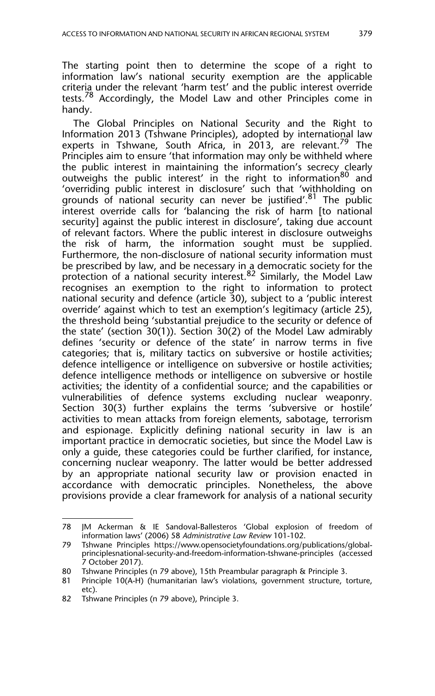The starting point then to determine the scope of a right to information law's national security exemption are the applicable criteria under the relevant 'harm test' and the public interest override tests.<sup>78</sup> Accordingly, the Model Law and other Principles come in handy.

The Global Principles on National Security and the Right to Information 2013 (Tshwane Principles), adopted by international law experts in Tshwane, South Africa, in 2013, are relevant.<sup>79</sup> The Principles aim to ensure 'that information may only be withheld where the public interest in maintaining the information's secrecy clearly outweighs the public interest' in the right to information<sup>80</sup> and 'overriding public interest in disclosure' such that 'withholding on grounds of national security can never be justified'.<sup>81</sup> The public interest override calls for 'balancing the risk of harm [to national security] against the public interest in disclosure', taking due account of relevant factors. Where the public interest in disclosure outweighs the risk of harm, the information sought must be supplied. Furthermore, the non-disclosure of national security information must be prescribed by law, and be necessary in a democratic society for the protection of a national security interest.<sup>82</sup> Similarly, the Model Law recognises an exemption to the right to information to protect national security and defence (article 30), subject to a 'public interest override' against which to test an exemption's legitimacy (article 25), the threshold being 'substantial prejudice to the security or defence of the state' (section 30(1)). Section 30(2) of the Model Law admirably defines 'security or defence of the state' in narrow terms in five categories; that is, military tactics on subversive or hostile activities; defence intelligence or intelligence on subversive or hostile activities; defence intelligence methods or intelligence on subversive or hostile activities; the identity of a confidential source; and the capabilities or vulnerabilities of defence systems excluding nuclear weaponry. Section 30(3) further explains the terms 'subversive or hostile' activities to mean attacks from foreign elements, sabotage, terrorism and espionage. Explicitly defining national security in law is an important practice in democratic societies, but since the Model Law is only a guide, these categories could be further clarified, for instance, concerning nuclear weaponry. The latter would be better addressed by an appropriate national security law or provision enacted in accordance with democratic principles. Nonetheless, the above provisions provide a clear framework for analysis of a national security

<sup>78</sup> JM Ackerman & IE Sandoval-Ballesteros 'Global explosion of freedom of information laws' (2006) 58 *Administrative Law Review* 101-102.

<sup>79</sup> Tshwane Principles https://www.opensocietyfoundations.org/publications/globalprinciplesnational-security-and-freedom-information-tshwane-principles (accessed 7 October 2017).

<sup>80</sup> Tshwane Principles (n 79 above), 15th Preambular paragraph & Principle 3.

<sup>81</sup> Principle 10(A-H) (humanitarian law's violations, government structure, torture, etc).

<sup>82</sup> Tshwane Principles (n 79 above), Principle 3.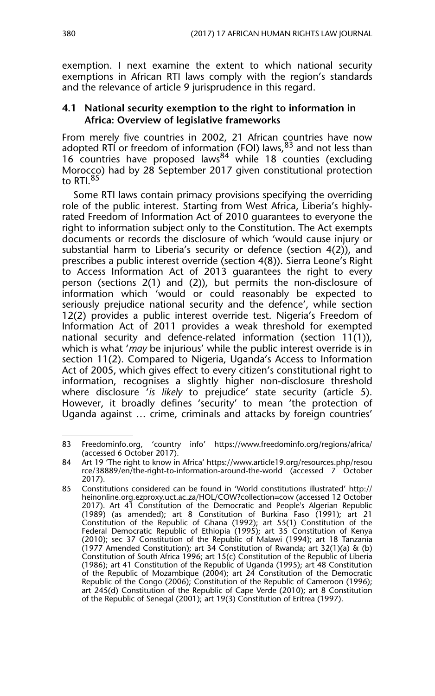exemption. I next examine the extent to which national security exemptions in African RTI laws comply with the region's standards and the relevance of article 9 jurisprudence in this regard.

#### **4.1 National security exemption to the right to information in Africa: Overview of legislative frameworks**

From merely five countries in 2002, 21 African countries have now adopted RTI or freedom of information (FOI) laws,  $83$  and not less than 16 countries have proposed laws<sup>84</sup> while 18 counties (excluding Morocco) had by 28 September 2017 given constitutional protection to RTI.<sup>85</sup>

Some RTI laws contain primacy provisions specifying the overriding role of the public interest. Starting from West Africa, Liberia's highlyrated Freedom of Information Act of 2010 guarantees to everyone the right to information subject only to the Constitution. The Act exempts documents or records the disclosure of which 'would cause injury or substantial harm to Liberia's security or defence (section 4(2)), and prescribes a public interest override (section 4(8)). Sierra Leone's Right to Access Information Act of 2013 guarantees the right to every person (sections 2(1) and (2)), but permits the non-disclosure of information which 'would or could reasonably be expected to seriously prejudice national security and the defence', while section 12(2) provides a public interest override test. Nigeria's Freedom of Information Act of 2011 provides a weak threshold for exempted national security and defence-related information (section 11(1)), which is what '*may* be injurious' while the public interest override is in section 11(2). Compared to Nigeria, Uganda's Access to Information Act of 2005, which gives effect to every citizen's constitutional right to information, recognises a slightly higher non-disclosure threshold where disclosure '*is likely* to prejudice' state security (article 5). However, it broadly defines 'security' to mean 'the protection of Uganda against … crime, criminals and attacks by foreign countries'

<sup>83</sup> Freedominfo.org, 'country info' https://www.freedominfo.org/regions/africa/ (accessed 6 October 2017).

<sup>84</sup> Art 19 'The right to know in Africa' https://www.article19.org/resources.php/resou rce/38889/en/the-right-to-information-around-the-world (accessed 7 October 2017).

<sup>85</sup> Constitutions considered can be found in 'World constitutions illustrated' http:// heinonline.org.ezproxy.uct.ac.za/HOL/COW?collection=cow (accessed 12 October 2017). Art 41 Constitution of the Democratic and People's Algerian Republic (1989) (as amended); art 8 Constitution of Burkina Faso (1991); art 21 Constitution of the Republic of Ghana (1992); art 55(1) Constitution of the Federal Democratic Republic of Ethiopia (1995); art 35 Constitution of Kenya (2010); sec 37 Constitution of the Republic of Malawi (1994); art 18 Tanzania (1977 Amended Constitution); art 34 Constitution of Rwanda; art 32(1)(a) & (b) Constitution of South Africa 1996; art 15(c) Constitution of the Republic of Liberia (1986); art 41 Constitution of the Republic of Uganda (1995); art 48 Constitution of the Republic of Mozambique (2004); art 24 Constitution of the Democratic Republic of the Congo (2006); Constitution of the Republic of Cameroon (1996); art 245(d) Constitution of the Republic of Cape Verde (2010); art 8 Constitution of the Republic of Senegal (2001); art 19(3) Constitution of Eritrea (1997).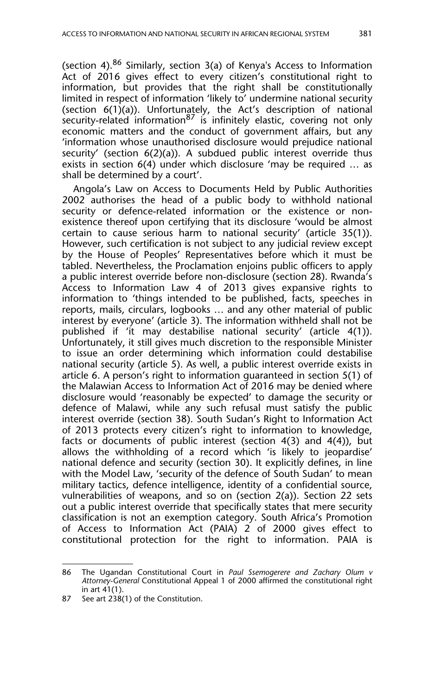(section 4). $86$  Similarly, section 3(a) of Kenya's Access to Information Act of 2016 gives effect to every citizen's constitutional right to information, but provides that the right shall be constitutionally limited in respect of information 'likely to' undermine national security (section 6(1)(a)). Unfortunately, the Act's description of national security-related information  $87$  is infinitely elastic, covering not only economic matters and the conduct of government affairs, but any 'information whose unauthorised disclosure would prejudice national security' (section 6(2)(a)). A subdued public interest override thus exists in section 6(4) under which disclosure 'may be required … as shall be determined by a court'.

Angola's Law on Access to Documents Held by Public Authorities 2002 authorises the head of a public body to withhold national security or defence-related information or the existence or nonexistence thereof upon certifying that its disclosure 'would be almost certain to cause serious harm to national security' (article 35(1)). However, such certification is not subject to any judicial review except by the House of Peoples' Representatives before which it must be tabled. Nevertheless, the Proclamation enjoins public officers to apply a public interest override before non-disclosure (section 28). Rwanda's Access to Information Law 4 of 2013 gives expansive rights to information to 'things intended to be published, facts, speeches in reports, mails, circulars, logbooks … and any other material of public interest by everyone' (article 3). The information withheld shall not be published if 'it may destabilise national security' (article 4(1)). Unfortunately, it still gives much discretion to the responsible Minister to issue an order determining which information could destabilise national security (article 5). As well, a public interest override exists in article 6. A person's right to information guaranteed in section 5(1) of the Malawian Access to Information Act of 2016 may be denied where disclosure would 'reasonably be expected' to damage the security or defence of Malawi, while any such refusal must satisfy the public interest override (section 38). South Sudan's Right to Information Act of 2013 protects every citizen's right to information to knowledge, facts or documents of public interest (section 4(3) and 4(4)), but allows the withholding of a record which 'is likely to jeopardise' national defence and security (section 30). It explicitly defines, in line with the Model Law, 'security of the defence of South Sudan' to mean military tactics, defence intelligence, identity of a confidential source, vulnerabilities of weapons, and so on (section 2(a)). Section 22 sets out a public interest override that specifically states that mere security classification is not an exemption category. South Africa's Promotion of Access to Information Act (PAIA) 2 of 2000 gives effect to constitutional protection for the right to information. PAIA is

<sup>86</sup> The Ugandan Constitutional Court in *Paul Ssemogerere and Zachary Olum v Attorney-General* Constitutional Appeal 1 of 2000 affirmed the constitutional right in art 41(1).

<sup>87</sup> See art 238(1) of the Constitution.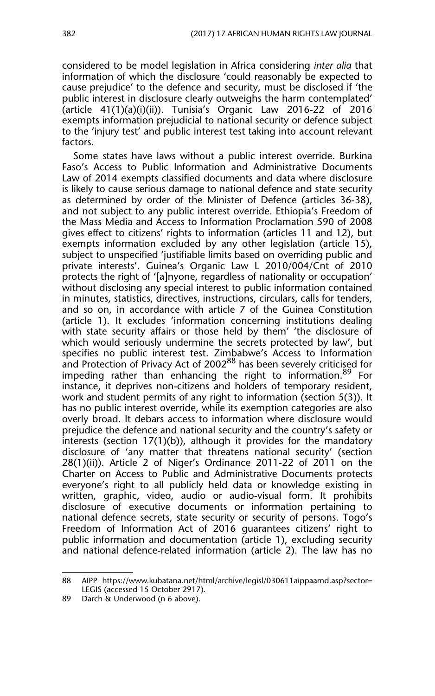considered to be model legislation in Africa considering *inter alia* that information of which the disclosure 'could reasonably be expected to cause prejudice' to the defence and security, must be disclosed if 'the public interest in disclosure clearly outweighs the harm contemplated' (article 41(1)(a)(i)(ii)). Tunisia's Organic Law 2016-22 of 2016 exempts information prejudicial to national security or defence subject to the 'injury test' and public interest test taking into account relevant factors.

Some states have laws without a public interest override**.** Burkina Faso's Access to Public Information and Administrative Documents Law of 2014 exempts classified documents and data where disclosure is likely to cause serious damage to national defence and state security as determined by order of the Minister of Defence (articles 36-38), and not subject to any public interest override. Ethiopia's Freedom of the Mass Media and Access to Information Proclamation 590 of 2008 gives effect to citizens' rights to information (articles 11 and 12), but exempts information excluded by any other legislation (article 15), subject to unspecified 'justifiable limits based on overriding public and private interests'. Guinea's Organic Law L 2010/004/Cnt of 2010 protects the right of '[a]nyone, regardless of nationality or occupation' without disclosing any special interest to public information contained in minutes, statistics, directives, instructions, circulars, calls for tenders, and so on, in accordance with article 7 of the Guinea Constitution (article 1). It excludes 'information concerning institutions dealing with state security affairs or those held by them' 'the disclosure of which would seriously undermine the secrets protected by law', but specifies no public interest test. Zimbabwe's Access to Information and Protection of Privacy Act of 2002<sup>88</sup> has been severely criticised for impeding rather than enhancing the right to information.<sup>89</sup> For instance, it deprives non-citizens and holders of temporary resident, work and student permits of any right to information (section 5(3)). It has no public interest override, while its exemption categories are also overly broad. It debars access to information where disclosure would prejudice the defence and national security and the country's safety or interests (section 17(1)(b)), although it provides for the mandatory disclosure of 'any matter that threatens national security' (section 28(1)(ii)). Article 2 of Niger's Ordinance 2011-22 of 2011 on the Charter on Access to Public and Administrative Documents protects everyone's right to all publicly held data or knowledge existing in written, graphic, video, audio or audio-visual form. It prohibits disclosure of executive documents or information pertaining to national defence secrets, state security or security of persons. Togo's Freedom of Information Act of 2016 guarantees citizens' right to public information and documentation (article 1), excluding security and national defence-related information (article 2). The law has no

<sup>88</sup> AIPP https://www.kubatana.net/html/archive/legisl/030611aippaamd.asp?sector= LEGIS (accessed 15 October 2917).

<sup>89</sup> Darch & Underwood (n 6 above).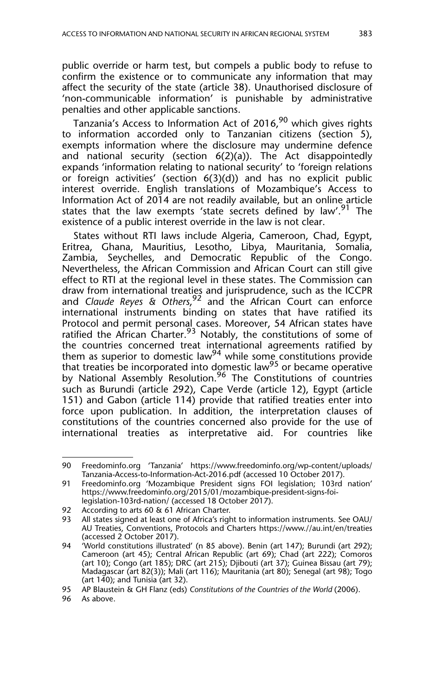public override or harm test, but compels a public body to refuse to confirm the existence or to communicate any information that may affect the security of the state (article 38). Unauthorised disclosure of 'non-communicable information' is punishable by administrative penalties and other applicable sanctions.

Tanzania's Access to Information Act of 2016,<sup>90</sup> which gives rights to information accorded only to Tanzanian citizens (section 5), exempts information where the disclosure may undermine defence and national security (section  $6(2)(a)$ ). The Act disappointedly expands 'information relating to national security' to 'foreign relations or foreign activities' (section 6(3)(d)) and has no explicit public interest override. English translations of Mozambique's Access to Information Act of 2014 are not readily available, but an online article states that the law exempts 'state secrets defined by law'.<sup>91</sup> The existence of a public interest override in the law is not clear.

States without RTI laws include Algeria, Cameroon, Chad, Egypt, Eritrea, Ghana, Mauritius, Lesotho, Libya, Mauritania, Somalia, Zambia, Seychelles, and Democratic Republic of the Congo. Nevertheless, the African Commission and African Court can still give effect to RTI at the regional level in these states. The Commission can draw from international treaties and jurisprudence, such as the ICCPR and *Claude Reyes & Others*, 92 and the African Court can enforce international instruments binding on states that have ratified its Protocol and permit personal cases. Moreover, 54 African states have ratified the African Charter.<sup>93</sup> Notably, the constitutions of some of the countries concerned treat international agreements ratified by them as superior to domestic law<sup>94</sup> while some constitutions provide that treaties be incorporated into domestic law<sup>95</sup> or became operative by National Assembly Resolution.<sup>96</sup> The Constitutions of countries such as Burundi (article 292), Cape Verde (article 12), Egypt (article 151) and Gabon (article 114) provide that ratified treaties enter into force upon publication. In addition, the interpretation clauses of constitutions of the countries concerned also provide for the use of international treaties as interpretative aid. For countries like

<sup>90</sup> Freedominfo.org 'Tanzania' https://www.freedominfo.org/wp-content/uploads/ Tanzania-Access-to-Information-Act-2016.pdf (accessed 10 October 2017).

<sup>91</sup> Freedominfo.org 'Mozambique President signs FOI legislation; 103rd nation' https://www.freedominfo.org/2015/01/mozambique-president-signs-foilegislation-103rd-nation/ (accessed 18 October 2017).

<sup>92</sup> According to arts 60 & 61 African Charter.

<sup>93</sup> All states signed at least one of Africa's right to information instruments. See OAU/ AU Treaties, Conventions, Protocols and Charters https://www.//au.int/en/treaties (accessed 2 October 2017).

<sup>94 &#</sup>x27;World constitutions illustrated' (n 85 above). Benin (art 147); Burundi (art 292); Cameroon (art 45); Central African Republic (art 69); Chad (art 222); Comoros (art 10); Congo (art 185); DRC (art 215); Djibouti (art 37); Guinea Bissau (art 79); Madagascar (art 82(3)); Mali (art 116); Mauritania (art 80); Senegal (art 98); Togo (art  $140$ ); and Tunisia (art 32).

<sup>95</sup> AP Blaustein & GH Flanz (eds) *Constitutions of the Countries of the World* (2006).

<sup>96</sup> As above.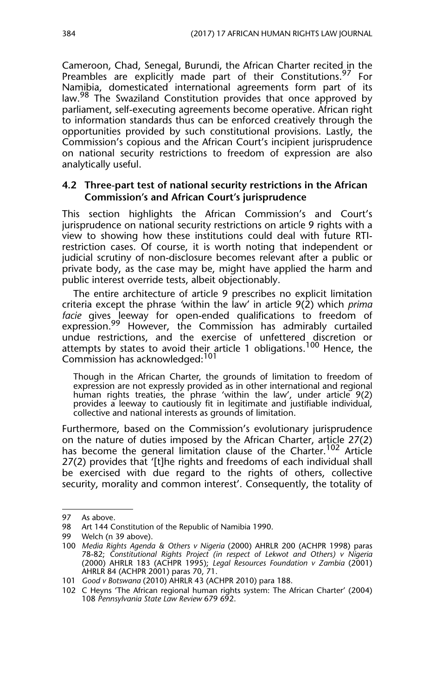Cameroon, Chad, Senegal, Burundi, the African Charter recited in the Preambles are explicitly made part of their Constitutions.<sup>97</sup> For Namibia, domesticated international agreements form part of its law.<sup>98</sup> The Swaziland Constitution provides that once approved by parliament, self-executing agreements become operative. African right to information standards thus can be enforced creatively through the opportunities provided by such constitutional provisions. Lastly, the Commission's copious and the African Court's incipient jurisprudence on national security restrictions to freedom of expression are also analytically useful.

#### **4.2 Three-part test of national security restrictions in the African Commission's and African Court's jurisprudence**

This section highlights the African Commission's and Court's jurisprudence on national security restrictions on article 9 rights with a view to showing how these institutions could deal with future RTIrestriction cases. Of course, it is worth noting that independent or judicial scrutiny of non-disclosure becomes relevant after a public or private body, as the case may be, might have applied the harm and public interest override tests, albeit objectionably.

The entire architecture of article 9 prescribes no explicit limitation criteria except the phrase *'*within the law' in article 9(2) which *prima facie* gives leeway for open-ended qualifications to freedom of expression.<sup>99</sup> However, the Commission has admirably curtailed undue restrictions, and the exercise of unfettered discretion or attempts by states to avoid their article 1 obligations.<sup>100</sup> Hence, the Commission has acknowledged:<sup>101</sup>

Though in the African Charter, the grounds of limitation to freedom of expression are not expressly provided as in other international and regional human rights treaties, the phrase 'within the law', under article 9(2) provides a leeway to cautiously fit in legitimate and justifiable individual, collective and national interests as grounds of limitation.

Furthermore, based on the Commission's evolutionary jurisprudence on the nature of duties imposed by the African Charter, article 27(2) has become the general limitation clause of the Charter.<sup>102</sup> Article 27(2) provides that '[t]he rights and freedoms of each individual shall be exercised with due regard to the rights of others, collective security, morality and common interest'. Consequently, the totality of

<sup>97</sup> As above.

<sup>98</sup> Art 144 Constitution of the Republic of Namibia 1990.

<sup>99</sup> Welch (n 39 above).

<sup>100</sup> *Media Rights Agenda & Others v Nigeria* (2000) AHRLR 200 (ACHPR 1998) paras 78-82; *Constitutional Rights Project (in respect of Lekwot and Others) v Nigeria* (2000) AHRLR 183 (ACHPR 1995); *Legal Resources Foundation v Zambia* (2001) AHRLR 84 (ACHPR 2001) paras 70, 71.

<sup>101</sup> *Good v Botswana* (2010) AHRLR 43 (ACHPR 2010) para 188.

<sup>102</sup> C Heyns 'The African regional human rights system: The African Charter' (2004) 108 *Pennsylvania State Law Review* 679 692.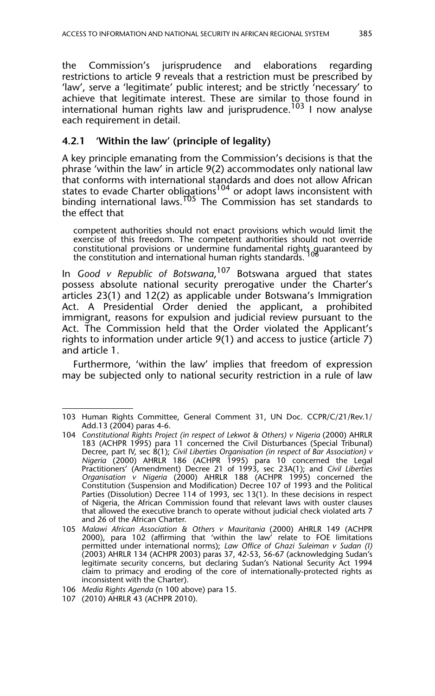the Commission's jurisprudence and elaborations regarding restrictions to article 9 reveals that a restriction must be prescribed by 'law', serve a 'legitimate' public interest; and be strictly 'necessary' to achieve that legitimate interest. These are similar to those found in international human rights law and jurisprudence.<sup>103</sup> I now analyse each requirement in detail.

#### **4.2.1 'Within the law' (principle of legality)**

A key principle emanating from the Commission's decisions is that the phrase 'within the law' in article 9(2) accommodates only national law that conforms with international standards and does not allow African states to evade Charter obligations<sup>104</sup> or adopt laws inconsistent with binding international laws.105 The Commission has set standards to the effect that

competent authorities should not enact provisions which would limit the exercise of this freedom. The competent authorities should not override constitutional provisions or undermine fundamental rights guaranteed by the constitution and international human rights standards.

In *Good v Republic of Botswana*, 107 Botswana argued that states possess absolute national security prerogative under the Charter's articles 23(1) and 12(2) as applicable under Botswana's Immigration Act. A Presidential Order denied the applicant, a prohibited immigrant, reasons for expulsion and judicial review pursuant to the Act. The Commission held that the Order violated the Applicant's rights to information under article 9(1) and access to justice (article 7) and article 1.

Furthermore, 'within the law' implies that freedom of expression may be subjected only to national security restriction in a rule of law

<sup>103</sup> Human Rights Committee, General Comment 31, UN Doc. CCPR/C/21/Rev.1/ Add.13 (2004) paras 4-6.

<sup>104</sup> *Constitutional Rights Project (in respect of Lekwot & Others) v Nigeria* (2000) AHRLR 183 (ACHPR 1995) para 11 concerned the Civil Disturbances (Special Tribunal) Decree, part IV, sec 8(1); *Civil Liberties Organisation (in respect of Bar Association) v Nigeria* (2000) AHRLR 186 (ACHPR 1995) para 10 concerned the Legal Practitioners' (Amendment) Decree 21 of 1993, sec 23A(1); and *Civil Liberties Organisation v Nigeria* (2000) AHRLR 188 (ACHPR 1995) concerned the Constitution (Suspension and Modification) Decree 107 of 1993 and the Political Parties (Dissolution) Decree 114 of 1993, sec 13(1). In these decisions in respect of Nigeria, the African Commission found that relevant laws with ouster clauses that allowed the executive branch to operate without judicial check violated arts 7 and 26 of the African Charter.

<sup>105</sup> *Malawi African Association & Others v Mauritania* (2000) AHRLR 149 (ACHPR 2000), para 102 (affirming that 'within the law' relate to FOE limitations permitted under international norms); *Law Office of Ghazi Suleiman v Sudan (I)* (2003) AHRLR 134 (ACHPR 2003) paras 37, 42-53, 56-67 (acknowledging Sudan's legitimate security concerns, but declaring Sudan's National Security Act 1994 claim to primacy and eroding of the core of internationally-protected rights as inconsistent with the Charter).

<sup>106</sup> *Media Rights Agenda* (n 100 above) para 15.

<sup>107 (2010)</sup> AHRLR 43 (ACHPR 2010).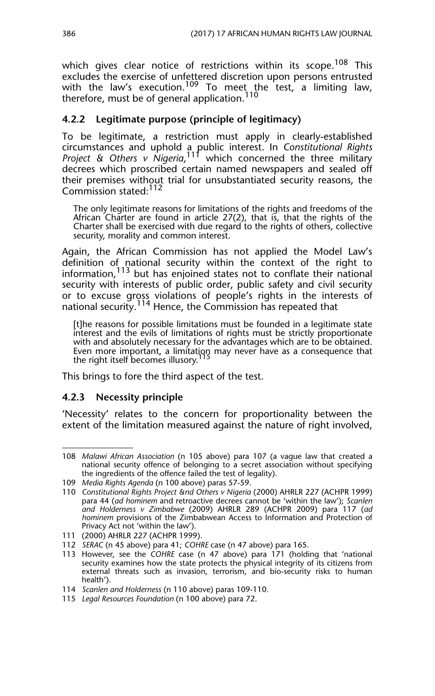which gives clear notice of restrictions within its scope.<sup>108</sup> This excludes the exercise of unfettered discretion upon persons entrusted with the law's execution.<sup>109</sup> To meet the test, a limiting law, therefore, must be of general application. $^{110}$ 

#### **4.2.2 Legitimate purpose (principle of legitimacy)**

To be legitimate, a restriction must apply in clearly-established circumstances and uphold a public interest. In *Constitutional Rights* Project & Others v Nigeria,<sup>111</sup> which concerned the three military decrees which proscribed certain named newspapers and sealed off their premises without trial for unsubstantiated security reasons, the Commission stated:<sup>112</sup>

The only legitimate reasons for limitations of the rights and freedoms of the African Charter are found in article 27(2), that is, that the rights of the Charter shall be exercised with due regard to the rights of others, collective security, morality and common interest.

Again, the African Commission has not applied the Model Law's definition of national security within the context of the right to information,<sup>113</sup> but has enjoined states not to conflate their national security with interests of public order, public safety and civil security or to excuse gross violations of people's rights in the interests of national security.114 Hence, the Commission has repeated that

[t]he reasons for possible limitations must be founded in a legitimate state interest and the evils of limitations of rights must be strictly proportionate with and absolutely necessary for the advantages which are to be obtained. Even more important, a limitation may never have as a consequence that the right itself becomes illusory.<sup>1</sup>

This brings to fore the third aspect of the test.

#### **4.2.3 Necessity principle**

'Necessity' relates to the concern for proportionality between the extent of the limitation measured against the nature of right involved,

<sup>108</sup> *Malawi African Association* (n 105 above) para 107 (a vague law that created a national security offence of belonging to a secret association without specifying the ingredients of the offence failed the test of legality).

<sup>109</sup> *Media Rights Agenda* (n 100 above) paras 57-59.

<sup>110</sup> *Constitutional Rights Project &nd Others v Nigeria* (2000) AHRLR 227 (ACHPR 1999) para 44 (*ad hominem* and retroactive decrees cannot be 'within the law'); *Scanlen and Holderness v Zimbabwe* (2009) AHRLR 289 (ACHPR 2009) para 117 (*ad hominem* provisions of the Zimbabwean Access to Information and Protection of Privacy Act not 'within the law').

<sup>111 (2000)</sup> AHRLR 227 (ACHPR 1999).

<sup>112</sup> *SERAC* (n 45 above) para 41; *COHRE* case (n 47 above) para 165.

<sup>113</sup> However, see the *COHRE* case (n 47 above) para 171 (holding that 'national security examines how the state protects the physical integrity of its citizens from external threats such as invasion, terrorism, and bio-security risks to human health').

<sup>114</sup> *Scanlen and Holderness* (n 110 above) paras 109-110.

<sup>115</sup> *Legal Resources Foundation* (n 100 above) para 72.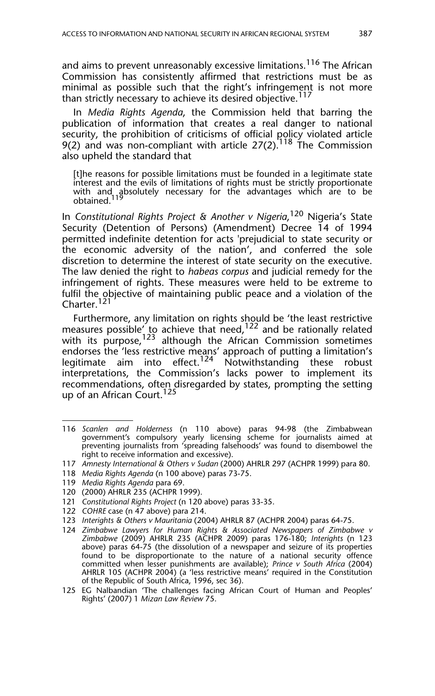and aims to prevent unreasonably excessive limitations.<sup>116</sup> The African Commission has consistently affirmed that restrictions must be as minimal as possible such that the right's infringement is not more than strictly necessary to achieve its desired objective.<sup>117</sup>

In *Media Rights Agenda*, the Commission held that barring the publication of information that creates a real danger to national security, the prohibition of criticisms of official policy violated article 9(2) and was non-compliant with article 27(2).<sup>118</sup> The Commission also upheld the standard that

[t]he reasons for possible limitations must be founded in a legitimate state interest and the evils of limitations of rights must be strictly proportionate with and absolutely necessary for the advantages which are to be obtained.

In *Constitutional Rights Project & Another v Nigeria*, 120 Nigeria's State Security (Detention of Persons) (Amendment) Decree 14 of 1994 permitted indefinite detention for acts 'prejudicial to state security or the economic adversity of the nation', and conferred the sole discretion to determine the interest of state security on the executive. The law denied the right to *habeas corpus* and judicial remedy for the infringement of rights. These measures were held to be extreme to fulfil the objective of maintaining public peace and a violation of the Charter.<sup>121</sup>

Furthermore, any limitation on rights should be 'the least restrictive measures possible' to achieve that need,  $122$  and be rationally related with its purpose,<sup>123</sup> although the African Commission sometimes endorses the 'less restrictive means' approach of putting a limitation's legitimate aim into effect.<sup>124</sup> Notwithstanding these robust interpretations, the Commission's lacks power to implement its recommendations, often disregarded by states, prompting the setting up of an African Court.<sup>125</sup>

- 118 *Media Rights Agenda* (n 100 above) paras 73-75.
- 119 *Media Rights Agenda* para 69.
- 120 (2000) AHRLR 235 (ACHPR 1999).
- 121 *Constitutional Rights Project* (n 120 above) paras 33-35.
- 122 *COHRE* case (n 47 above) para 214.
- 123 *Interights & Others v Mauritania* (2004) AHRLR 87 (ACHPR 2004) paras 64-75.
- 124 *Zimbabwe Lawyers for Human Rights & Associated Newspapers of Zimbabwe v Zimbabwe* (2009) AHRLR 235 (ACHPR 2009) paras 176-180; *Interights* (n 123 above) paras 64-75 (the dissolution of a newspaper and seizure of its properties found to be disproportionate to the nature of a national security offence committed when lesser punishments are available); *Prince v South Africa* (2004) AHRLR 105 (ACHPR 2004) (a 'less restrictive means' required in the Constitution of the Republic of South Africa, 1996, sec 36).

<sup>116</sup> *Scanlen and Holderness* (n 110 above) paras 94-98 (the Zimbabwean government's compulsory yearly licensing scheme for journalists aimed at preventing journalists from 'spreading falsehoods' was found to disembowel the right to receive information and excessive).

<sup>117</sup> *Amnesty International & Others v Sudan* (2000) AHRLR 297 (ACHPR 1999) para 80.

<sup>125</sup> EG Nalbandian 'The challenges facing African Court of Human and Peoples' Rights' (2007) 1 *Mizan Law Review* 75.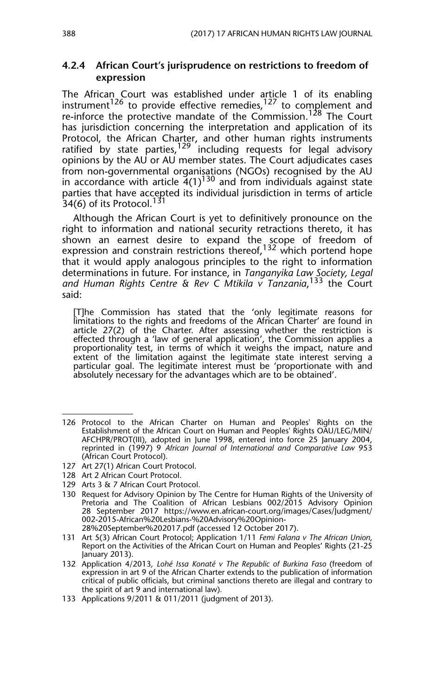#### **4.2.4 African Court's jurisprudence on restrictions to freedom of expression**

The African Court was established under article 1 of its enabling instrument<sup>126</sup> to provide effective remedies,<sup>127</sup> to complement and re-inforce the protective mandate of the Commission.<sup>128</sup> The Court has jurisdiction concerning the interpretation and application of its Protocol, the African Charter, and other human rights instruments ratified by state parties, $129$  including requests for legal advisory opinions by the AU or AU member states. The Court adjudicates cases from non-governmental organisations (NGOs) recognised by the AU in accordance with article  $4(1)^{130}$  and from individuals against state parties that have accepted its individual jurisdiction in terms of article  $34(6)$  of its Protocol.<sup>131</sup>

Although the African Court is yet to definitively pronounce on the right to information and national security retractions thereto, it has shown an earnest desire to expand the scope of freedom of expression and constrain restrictions thereof,<sup>132</sup> which portend hope that it would apply analogous principles to the right to information determinations in future. For instance, in *Tanganyika Law Society, Legal and Human Rights Centre & Rev C Mtikila v Tanzania*, 133 the Court said:

[T]he Commission has stated that the 'only legitimate reasons for limitations to the rights and freedoms of the African Charter' are found in article 27(2) of the Charter. After assessing whether the restriction is effected through a 'law of general application', the Commission applies a proportionality test, in terms of which it weighs the impact, nature and extent of the limitation against the legitimate state interest serving a particular goal. The legitimate interest must be 'proportionate with and absolutely necessary for the advantages which are to be obtained'.

- 129 Arts 3 & 7 African Court Protocol.
- 130 Request for Advisory Opinion by The Centre for Human Rights of the University of Pretoria and The Coalition of African Lesbians 002/2015 Advisory Opinion 28 September 2017 https://www.en.african-court.org/images/Cases/Judgment/ 002-2015-African%20Lesbians-%20Advisory%20Opinion-28%20September%202017.pdf (accessed 12 October 2017).
- 131 Art 5(3) African Court Protocol; Application 1/11 *Femi Falana v The African Union*, Report on the Activities of the African Court on Human and Peoples' Rights (21-25 January 2013).

<sup>126</sup> Protocol to the African Charter on Human and Peoples' Rights on the Establishment of the African Court on Human and Peoples' Rights OAU/LEG/MIN/ AFCHPR/PROT(III), adopted in June 1998, entered into force 25 January 2004, reprinted in (1997) 9 *African Journal of International and Comparative Law* 953 (African Court Protocol).

<sup>127</sup> Art 27(1) African Court Protocol.

<sup>128</sup> Art 2 African Court Protocol.

<sup>132</sup> Application 4/2013*, Lohé Issa Konaté v The Republic of Burkina Faso* (freedom of expression in art 9 of the African Charter extends to the publication of information critical of public officials, but criminal sanctions thereto are illegal and contrary to the spirit of art 9 and international law)*.*

<sup>133</sup> Applications 9/2011 & 011/2011 (judgment of 2013).